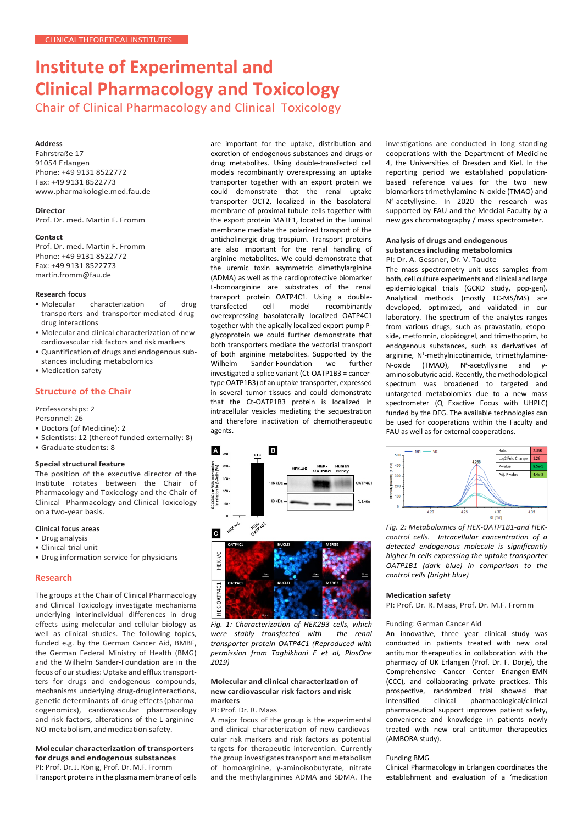# **Institute of Experimental and Clinical Pharmacology and Toxicology**

Chair of Clinical Pharmacology and Clinical Toxicology

# **Address**

Fahrstraße 17 91054 Erlangen Phone: +49 9131 8522772 Fax: +49 9131 8522773 www.pharmakologie.med.fau.de

# **Director**

Prof. Dr. med. Martin F. Fromm

#### **Contact**

Prof. Dr. med. Martin F. Fromm Phone: +49 9131 8522772 Fax: +49 9131 8522773 [martin.fromm@fau.de](mailto:martin.fromm@fau.de)

# **Research focus**

- characterization of drug transporters and transporter-mediated drugdrug interactions
- Molecular and clinical characterization of new cardiovascular risk factors and risk markers
- Quantification of drugs and endogenous substances including metabolomics
- Medication safety

# **Structure of the Chair**

Professorships: 2

Personnel: 26

- Doctors (of Medicine): 2
- Scientists: 12 (thereof funded externally: 8)
- Graduate students: 8

# **Special structural feature**

The position of the executive director of the Institute rotates between the Chair of Pharmacology and Toxicology and the Chair of Clinical Pharmacology and Clinical Toxicology on a two-year basis.

# **Clinical focus areas**

- Drug analysis
- Clinical trial unit
- Drug information service for physicians

# **Research**

The groups at the Chair of Clinical Pharmacology and Clinical Toxicology investigate mechanisms underlying interindividual differences in drug effects using molecular and cellular biology as well as clinical studies. The following topics, funded e.g. by the German Cancer Aid, BMBF, the German Federal Ministry of Health (BMG) and the Wilhelm Sander-Foundation are in the focus of our studies: Uptake and efflux transportters for drugs and endogenous compounds, mechanisms underlying drug-drug interactions, genetic determinants of drug effects(pharmacogenomics), cardiovascular pharmacology and risk factors, alterations of the L-arginine-NO-metabolism, andmedication safety.

#### **Molecular characterization of transporters for drugs and endogenous substances**  PI: Prof. Dr. J. König, Prof. Dr. M.F. Fromm Transport proteins in the plasma membrane of cells

are important for the uptake, distribution and excretion of endogenous substances and drugs or drug metabolites. Using double-transfected cell models recombinantly overexpressing an uptake transporter together with an export protein we could demonstrate that the renal uptake transporter OCT2, localized in the basolateral membrane of proximal tubule cells together with the export protein MATE1, located in the luminal membrane mediate the polarized transport of the anticholinergic drug trospium. Transport proteins are also important for the renal handling of arginine metabolites. We could demonstrate that the uremic toxin asymmetric dimethylarginine (ADMA) as well as the cardioprotective biomarker L-homoarginine are substrates of the renal transport protein OATP4C1. Using a double-<br>transfected cell model recombinantly transfected cell model recombinantly overexpressing basolaterally localized OATP4C1 together with the apically localized export pump Pglycoprotein we could further demonstrate that both transporters mediate the vectorial transport of both arginine metabolites. Supported by the Wilhelm Sander-Foundation we further investigated a splice variant (Ct-OATP1B3 = cancertype OATP1B3) of an uptake transporter, expressed in several tumor tissues and could demonstrate that the Ct-OATP1B3 protein is localized in intracellular vesicles mediating the sequestration and therefore inactivation of chemotherapeutic agents.



*Fig. 1: Characterization of HEK293 cells, which were stably transfected with the renal transporter protein OATP4C1 (Reproduced with permission from Taghikhani E et al, PlosOne 2019)*

# **Molecular and clinical characterization of new cardiovascular risk factors and risk markers**

#### PI: Prof. Dr. R. Maas

A major focus of the group is the experimental and clinical characterization of new cardiovascular risk markers and risk factors as potential targets for therapeutic intervention. Currently the group investigates transport and metabolism of homoarginine, γ-aminoisobutyrate, nitrate and the methylarginines ADMA and SDMA. The

investigations are conducted in long standing cooperations with the Department of Medicine 4, the Universities of Dresden and Kiel. In the reporting period we established populationbased reference values for the two new biomarkers trimethylamine-N-oxide (TMAO) and Nɛ -acetyllysine. In 2020 the research was supported by FAU and the Medcial Faculty by a new gas chromatography / mass spectrometer.

### **Analysis of drugs and endogenous substances including metabolomics**  PI: Dr. A. Gessner, Dr. V. Taudte

The mass spectrometry unit uses samples from both, cell culture experiments and clinical and large epidemiological trials (GCKD study, pop-gen). Analytical methods (mostly LC-MS/MS) are developed, optimized, and validated in our laboratory. The spectrum of the analytes ranges from various drugs, such as pravastatin, etoposide, metformin, clopidogrel, and trimethoprim, to endogenous substances, such as derivatives of arginine,  $N^1$ -methylnicotinamide, trimethylamine-N-oxide (TMAO), N<sup>ε</sup>-acetyllysine and γaminoisobutyric acid. Recently, the methodological spectrum was broadened to targeted and untargeted metabolomics due to a new mass spectrometer (Q Exactive Focus with UHPLC) funded by the DFG. The available technologies can be used for cooperations within the Faculty and FAU as well as for external cooperations.



*Fig. 2: Metabolomics of HEK-OATP1B1-and HEKcontrol cells. Intracellular concentration of a detected endogenous molecule is significantly higher in cells expressing the uptake transporter OATP1B1 (dark blue) in comparison to the control cells (bright blue)*

#### **Medication safety**

PI: Prof. Dr. R. Maas, Prof. Dr. M.F. Fromm

#### Funding: German Cancer Aid

An innovative, three year clinical study was conducted in patients treated with new oral antitumor therapeutics in collaboration with the pharmacy of UK Erlangen (Prof. Dr. F. Dörje), the Comprehensive Cancer Center Erlangen-EMN (CCC), and collaborating private practices. This prospective, randomized trial showed that intensified clinical pharmacological/clinical pharmaceutical support improves patient safety, convenience and knowledge in patients newly treated with new oral antitumor therapeutics (AMBORA study).

#### Funding BMG

Clinical Pharmacology in Erlangen coordinates the establishment and evaluation of a 'medication